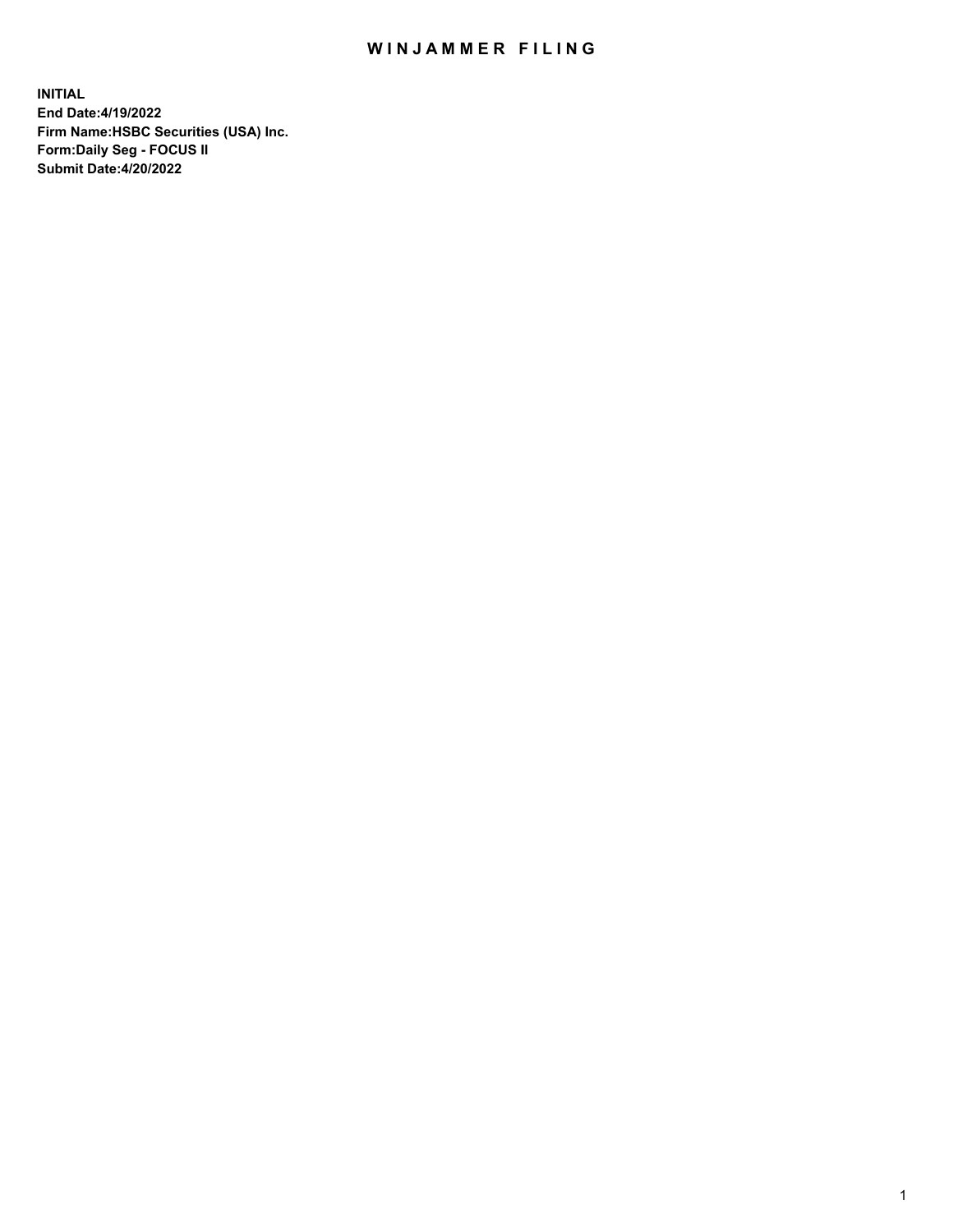## WIN JAMMER FILING

**INITIAL End Date:4/19/2022 Firm Name:HSBC Securities (USA) Inc. Form:Daily Seg - FOCUS II Submit Date:4/20/2022**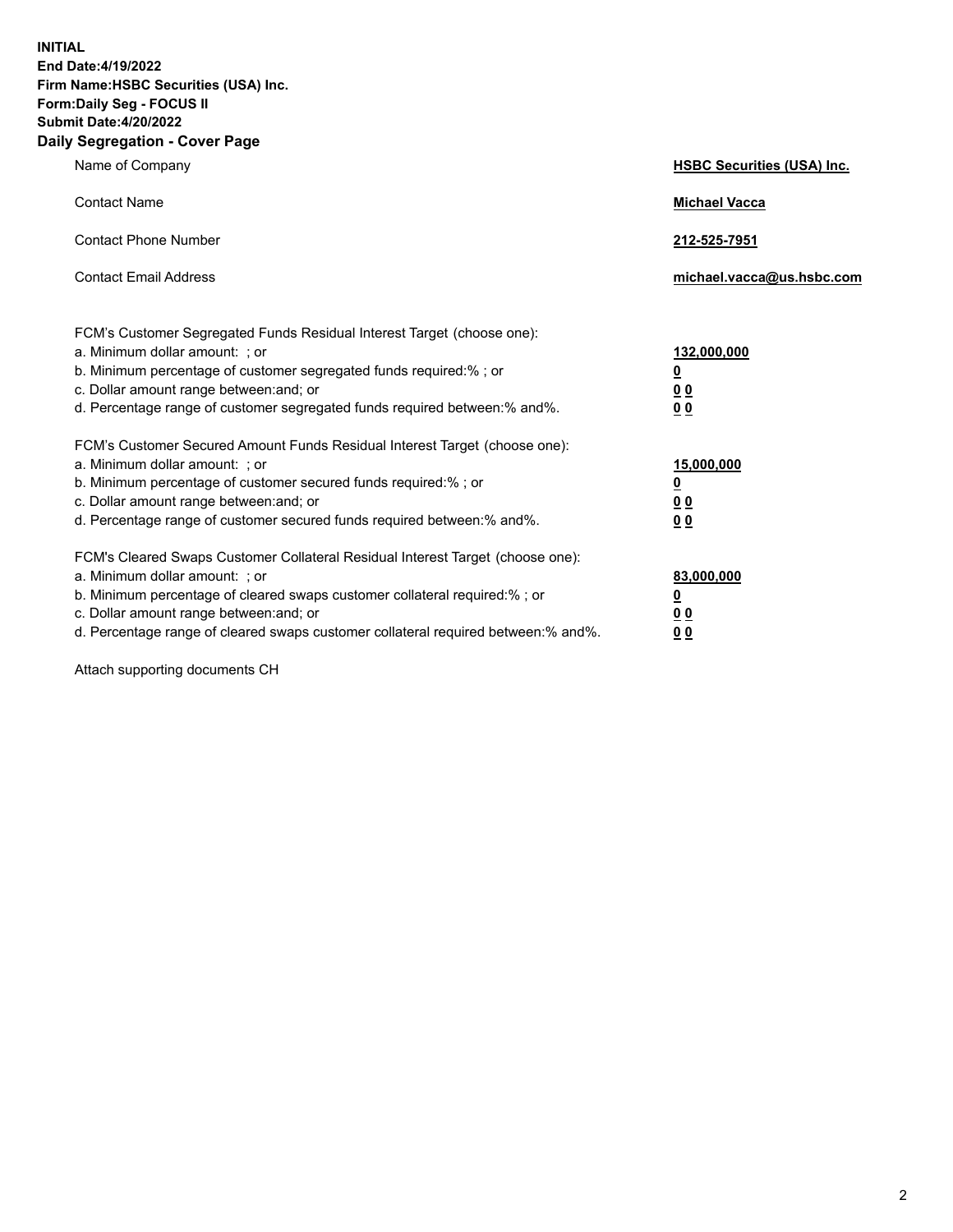**INITIAL End Date:4/19/2022 Firm Name:HSBC Securities (USA) Inc. Form:Daily Seg - FOCUS II Submit Date:4/20/2022 Daily Segregation - Cover Page**

| Name of Company                                                                                                                                                                                                                                                                                                                | <b>HSBC Securities (USA) Inc.</b>                          |
|--------------------------------------------------------------------------------------------------------------------------------------------------------------------------------------------------------------------------------------------------------------------------------------------------------------------------------|------------------------------------------------------------|
| <b>Contact Name</b>                                                                                                                                                                                                                                                                                                            | <b>Michael Vacca</b>                                       |
| <b>Contact Phone Number</b>                                                                                                                                                                                                                                                                                                    | 212-525-7951                                               |
| <b>Contact Email Address</b>                                                                                                                                                                                                                                                                                                   | michael.vacca@us.hsbc.com                                  |
| FCM's Customer Segregated Funds Residual Interest Target (choose one):<br>a. Minimum dollar amount: ; or<br>b. Minimum percentage of customer segregated funds required:%; or<br>c. Dollar amount range between: and; or<br>d. Percentage range of customer segregated funds required between: % and %.                        | 132,000,000<br><u>0</u><br>00<br>0 <sub>0</sub>            |
| FCM's Customer Secured Amount Funds Residual Interest Target (choose one):<br>a. Minimum dollar amount: ; or<br>b. Minimum percentage of customer secured funds required:%; or<br>c. Dollar amount range between: and; or<br>d. Percentage range of customer secured funds required between: % and %.                          | 15,000,000<br><u>0</u><br>0 <sub>0</sub><br>0 <sub>0</sub> |
| FCM's Cleared Swaps Customer Collateral Residual Interest Target (choose one):<br>a. Minimum dollar amount: ; or<br>b. Minimum percentage of cleared swaps customer collateral required:% ; or<br>c. Dollar amount range between: and; or<br>d. Percentage range of cleared swaps customer collateral required between:% and%. | 83,000,000<br><u>0</u><br><u>00</u><br>00                  |

Attach supporting documents CH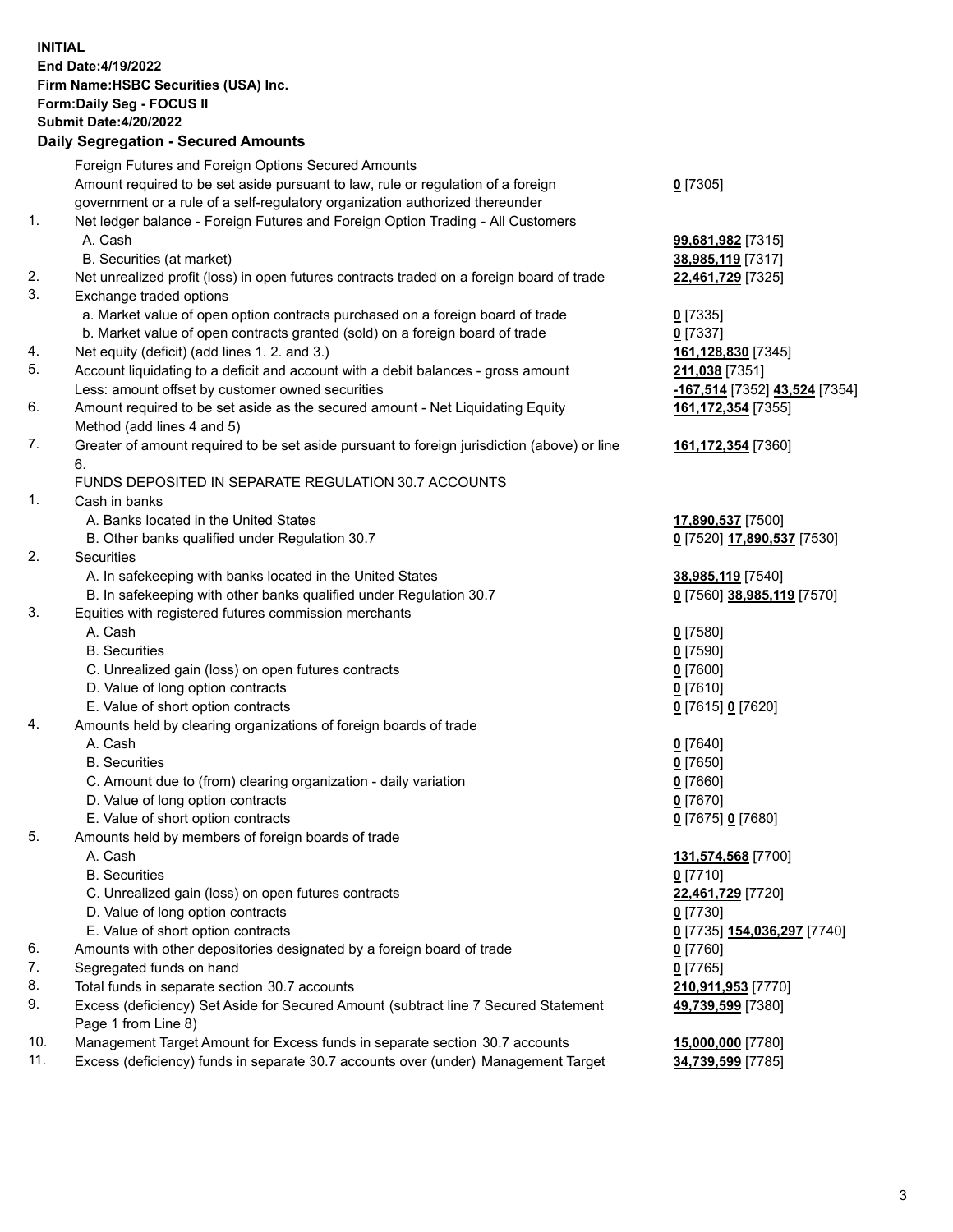**INITIAL End Date:4/19/2022 Firm Name:HSBC Securities (USA) Inc. Form:Daily Seg - FOCUS II Submit Date:4/20/2022 Daily Segregation - Secured Amounts** Foreign Futures and Foreign Options Secured Amounts Amount required to be set aside pursuant to law, rule or regulation of a foreign government or a rule of a self-regulatory organization authorized thereunder **0** [7305] 1. Net ledger balance - Foreign Futures and Foreign Option Trading - All Customers A. Cash **99,681,982** [7315] B. Securities (at market) **38,985,119** [7317] 2. Net unrealized profit (loss) in open futures contracts traded on a foreign board of trade **22,461,729** [7325] 3. Exchange traded options a. Market value of open option contracts purchased on a foreign board of trade **0** [7335] b. Market value of open contracts granted (sold) on a foreign board of trade **0** [7337] 4. Net equity (deficit) (add lines 1. 2. and 3.) **161,128,830** [7345] 5. Account liquidating to a deficit and account with a debit balances - gross amount **211,038** [7351] Less: amount offset by customer owned securities **-167,514** [7352] **43,524** [7354] 6. Amount required to be set aside as the secured amount - Net Liquidating Equity Method (add lines 4 and 5) **161,172,354** [7355] 7. Greater of amount required to be set aside pursuant to foreign jurisdiction (above) or line 6. **161,172,354** [7360] FUNDS DEPOSITED IN SEPARATE REGULATION 30.7 ACCOUNTS 1. Cash in banks A. Banks located in the United States **17,890,537** [7500] B. Other banks qualified under Regulation 30.7 **0** [7520] **17,890,537** [7530] 2. Securities A. In safekeeping with banks located in the United States **38,985,119** [7540] B. In safekeeping with other banks qualified under Regulation 30.7 **0** [7560] **38,985,119** [7570] 3. Equities with registered futures commission merchants A. Cash **0** [7580] B. Securities **0** [7590] C. Unrealized gain (loss) on open futures contracts **0** [7600] D. Value of long option contracts **0** [7610] E. Value of short option contracts **0** [7615] **0** [7620] 4. Amounts held by clearing organizations of foreign boards of trade A. Cash **0** [7640] B. Securities **0** [7650] C. Amount due to (from) clearing organization - daily variation **0** [7660] D. Value of long option contracts **0** [7670] E. Value of short option contracts **0** [7675] **0** [7680] 5. Amounts held by members of foreign boards of trade A. Cash **131,574,568** [7700] B. Securities **0** [7710] C. Unrealized gain (loss) on open futures contracts **22,461,729** [7720] D. Value of long option contracts **0** [7730] E. Value of short option contracts **0** [7735] **154,036,297** [7740] 6. Amounts with other depositories designated by a foreign board of trade **0** [7760] 7. Segregated funds on hand **0** [7765] 8. Total funds in separate section 30.7 accounts **210,911,953** [7770] 9. Excess (deficiency) Set Aside for Secured Amount (subtract line 7 Secured Statement Page 1 from Line 8) **49,739,599** [7380] 10. Management Target Amount for Excess funds in separate section 30.7 accounts **15,000,000** [7780]

11. Excess (deficiency) funds in separate 30.7 accounts over (under) Management Target **34,739,599** [7785]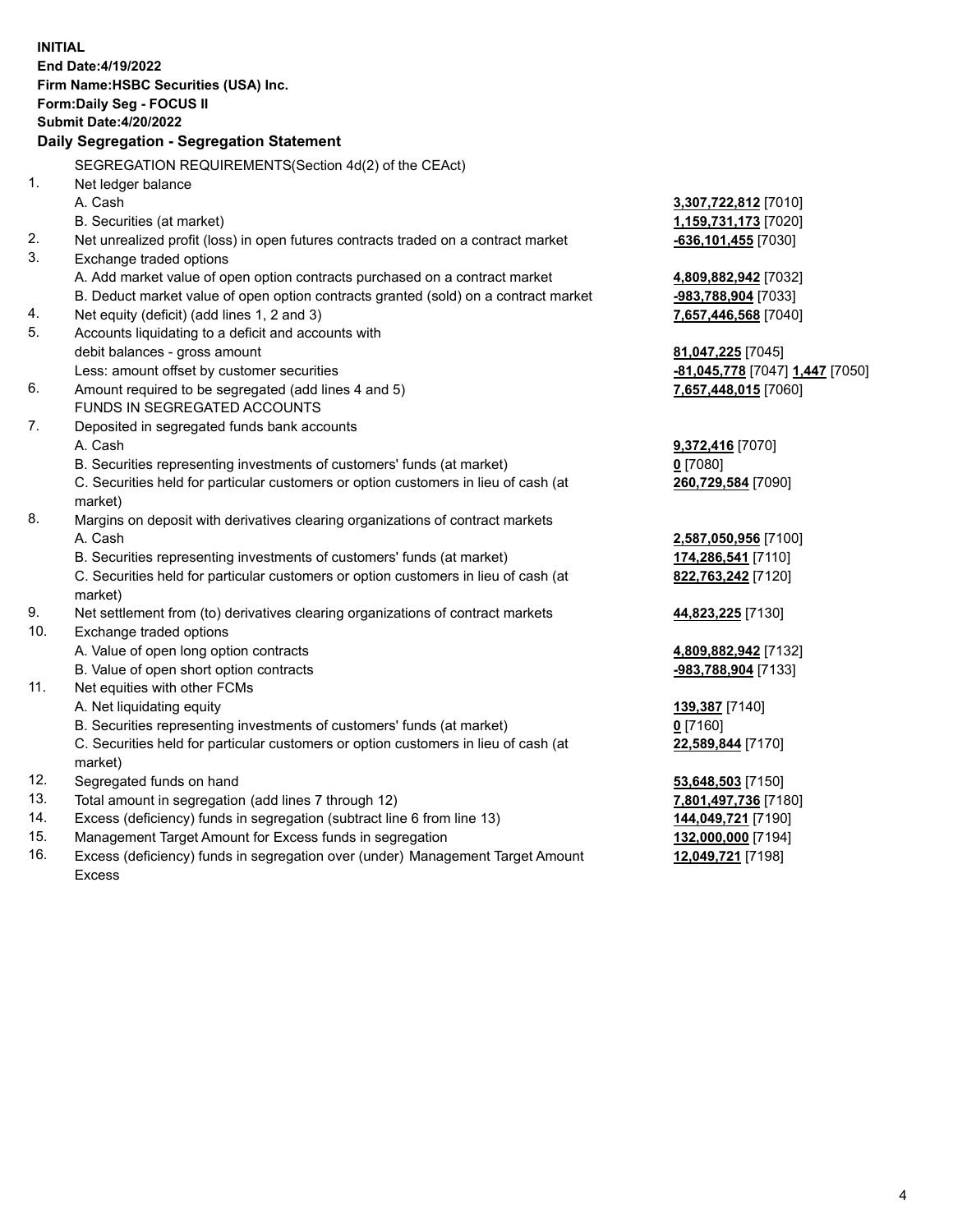**INITIAL End Date:4/19/2022 Firm Name:HSBC Securities (USA) Inc. Form:Daily Seg - FOCUS II Submit Date:4/20/2022 Daily Segregation - Segregation Statement** SEGREGATION REQUIREMENTS(Section 4d(2) of the CEAct) 1. Net ledger balance A. Cash **3,307,722,812** [7010] B. Securities (at market) **1,159,731,173** [7020] 2. Net unrealized profit (loss) in open futures contracts traded on a contract market **-636,101,455** [7030] 3. Exchange traded options A. Add market value of open option contracts purchased on a contract market **4,809,882,942** [7032] B. Deduct market value of open option contracts granted (sold) on a contract market **-983,788,904** [7033] 4. Net equity (deficit) (add lines 1, 2 and 3) **7,657,446,568** [7040] 5. Accounts liquidating to a deficit and accounts with debit balances - gross amount **81,047,225** [7045] Less: amount offset by customer securities **-81,045,778** [7047] **1,447** [7050] 6. Amount required to be segregated (add lines 4 and 5) **7,657,448,015** [7060] FUNDS IN SEGREGATED ACCOUNTS 7. Deposited in segregated funds bank accounts A. Cash **9,372,416** [7070] B. Securities representing investments of customers' funds (at market) **0** [7080] C. Securities held for particular customers or option customers in lieu of cash (at market) **260,729,584** [7090] 8. Margins on deposit with derivatives clearing organizations of contract markets A. Cash **2,587,050,956** [7100] B. Securities representing investments of customers' funds (at market) **174,286,541** [7110] C. Securities held for particular customers or option customers in lieu of cash (at market) **822,763,242** [7120] 9. Net settlement from (to) derivatives clearing organizations of contract markets **44,823,225** [7130] 10. Exchange traded options A. Value of open long option contracts **4,809,882,942** [7132] B. Value of open short option contracts **-983,788,904** [7133] 11. Net equities with other FCMs A. Net liquidating equity **139,387** [7140] B. Securities representing investments of customers' funds (at market) **0** [7160] C. Securities held for particular customers or option customers in lieu of cash (at market) **22,589,844** [7170] 12. Segregated funds on hand **53,648,503** [7150] 13. Total amount in segregation (add lines 7 through 12) **7,801,497,736** [7180] 14. Excess (deficiency) funds in segregation (subtract line 6 from line 13) **144,049,721** [7190] 15. Management Target Amount for Excess funds in segregation **132,000,000** [7194] 16. Excess (deficiency) funds in segregation over (under) Management Target Amount **12,049,721** [7198]

Excess